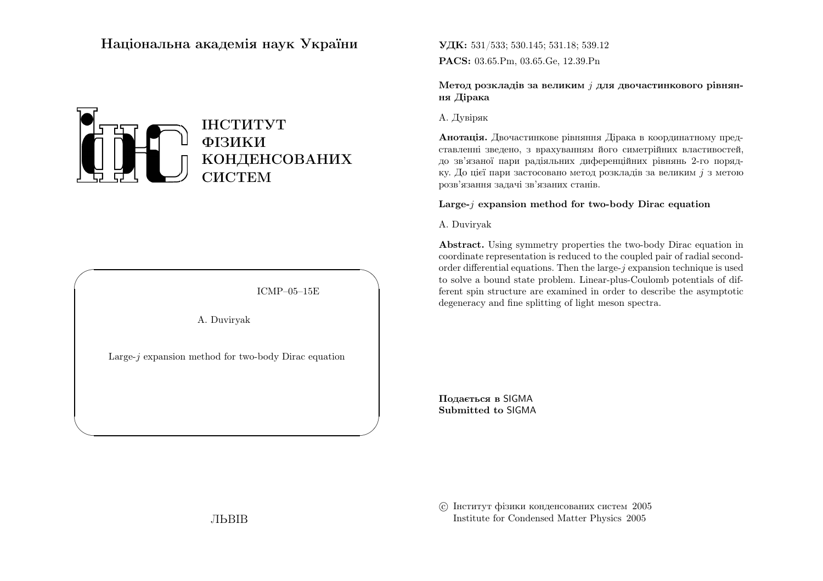## Нацiональна академiя наук України



ICMP–05–15E

✩

 $\mathcal{S}$ 

A. Duviryak

 $\sqrt{2}$ 

 $\setminus$ 

Large-j expansion method for two-body Dirac equation

 $\mathbf{V}\mathbf{\underline{H}K:} \ 531/533; \, 530.145; \, 531.18; \, 539.12$  $\mathbf{PACS:}$  03.65.Pm, 03.65.Ge, 12.39.Pn

Метод розкладів за великим  $j$  для двочастинкового рівнян- $\overline{\mathbf{u}}$ ня Дiрака

А. Дувiряк

**Анотація.** Двочастинкове рівняння Дірака в координатному представленнi зведено, <sup>з</sup> врахуванням його симетрiйних властивостей, до зв'язаної пари радiяльних диференцiйних <sup>р</sup>iвнянь 2-го порядку. До цієї пари застосовано метод розкладів за великим  $j$  з метою розв'язання задачi зв'язаних станiв.

## $\operatorname{Large-}j$  expansion method for two-body  $\operatorname{Dirac}$  equation

A. Duviryak

Abstract. Using symmetry properties the two-body Dirac equation in coordinate representation is reduced to the coupled pair of radial secondorder differential equations. Then the large- $j$  expansion technique is used to solve <sup>a</sup> bound state problem. Linear-plus-Coulomb potentials of different spin structure are examined in order to describe the asymptoticdegeneracy and fine splitting of light meson spectra.

Подається <sup>в</sup> SIGMASubmitted to SIGMA

 c Iнститут фiзики конденсованих систем <sup>2005</sup>Institute for Condensed Matter Physics <sup>2005</sup>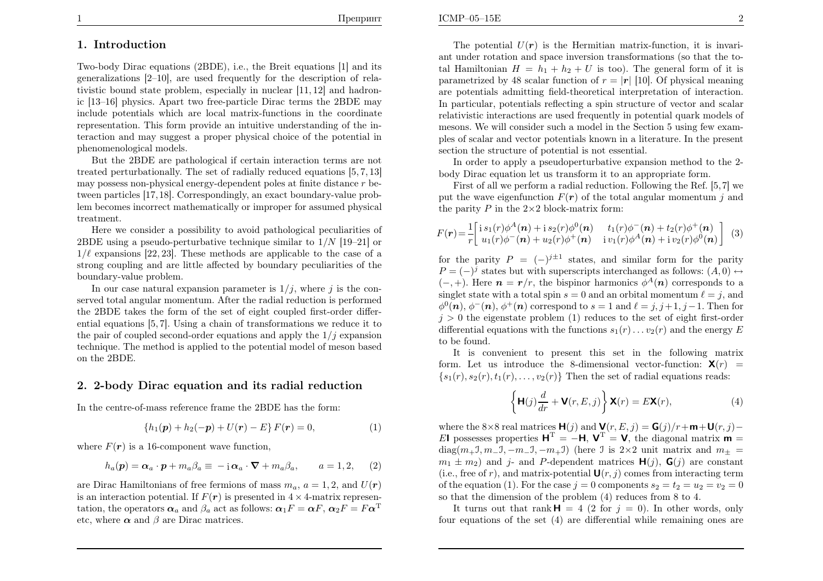### 1. Introduction

Two-body Dirac equations (2BDE), i.e., the Breit equations [1] and its generalizations [2–10], are used frequently for the description of relativistic bound state problem, especially in nuclear [11, 12] and hadronic [13–16] <sup>p</sup>hysics. Apart two free-particle Dirac terms the 2BDE may include potentials which are local matrix-functions in the coordinate representation. This form provide an intuitive understanding of the interaction and may suggest <sup>a</sup> proper <sup>p</sup>hysical choice of the potential in<sup>p</sup>henomenological models.

But the 2BDE are pathological if certain interaction terms are not treated perturbationally. The set of radially reduced equations [5, 7, 13] may possess non-physical energy-dependent poles at finite distance  $r$  between particles [17,18]. Correspondingly, an exact boundary-value problem becomes incorrect mathematically or improper for assumed <sup>p</sup>hysical treatment.

Here we consider <sup>a</sup> possibility to avoid pathological peculiarities of 2BDE using a pseudo-perturbative technique similar to  $1/N$  [19–21] or  $1/\ell$  corresponding to  $22$ ]. These mother is an applicable to the second function  $1/\ell$  expansions [22, 23]. These methods are applicable to the case of a strong coupling and are little affected by boundary peculiarities of theboundary-value problem.

In our case natural expansion parameter is  $1/j$ , where j is the conserved total angular momentum. After the radial reduction is performed the 2BDE takes the form of the set of eight coupled first-order differential equations [5, 7]. Using <sup>a</sup> chain of transformations we reduce it tothe pair of coupled second-order equations and apply the  $1/j$  expansion technique. The method is applied to the potential model of meson basedon the 2BDE.

### 2. 2-body Dirac equation and its radial reduction

In the centre-of-mass reference frame the 2BDE has the form:

$$
\{h_1(\mathbf{p}) + h_2(-\mathbf{p}) + U(\mathbf{r}) - E\} F(\mathbf{r}) = 0, \tag{1}
$$

where  $F(r)$  is a 16-component wave function,

$$
h_a(\mathbf{p}) = \boldsymbol{\alpha}_a \cdot \mathbf{p} + m_a \beta_a \equiv -\mathbf{i} \, \boldsymbol{\alpha}_a \cdot \boldsymbol{\nabla} + m_a \beta_a, \qquad a = 1, 2, \qquad (2)
$$

are Dirac Hamiltonians of free fermions of mass  $m_a$ ,  $a = 1, 2$ , and  $U(r)$ is an interaction potential. If  $F(r)$  is presented in  $4 \times 4$ -matrix representation, the operators  $\alpha_a$  and  $\beta_a$  act as follows:  $\alpha_1F=\alpha F$ ,  $\alpha_2F=F\alpha^T$ etc, where  $\alpha$  and  $\beta$  are Dirac matrices.

The potential  $U(r)$  is the Hermitian matrix-function, it is invariant under rotation and space inversion transformations (so that the total Hamiltonian  $H=h_1 + h_2 + U$  is too). The general form of it is parametrized by 48 scalar function of  $r = |r|$  [10]. Of physical meaning are potentials admitting field-theoretical interpretation of interaction. In particular, potentials reflecting <sup>a</sup> spin structure of vector and scalar relativistic interactions are used frequently in potential quar<sup>k</sup> models of mesons. We will consider such <sup>a</sup> model in the Section <sup>5</sup> using few exam<sup>p</sup>les of scalar and vector potentials known in <sup>a</sup> literature. In the presentsection the structure of potential is not essential.

In order to apply <sup>a</sup> pseudoperturbative expansion method to the 2 body Dirac equation let us transform it to an appropriate form.

First of all we perform <sup>a</sup> radial reduction. Following the Ref. [5,7] weput the wave eigenfunction  $F(\mathbf{r})$  of the total angular momentum j and the positive  $R$  in the 2x2 black metrix form. the parity  $P$  in the  $2\times 2$  block-matrix form:

$$
F(\mathbf{r}) = \frac{1}{r} \left[ \begin{array}{cc} \mathbf{i} s_1(r) \phi^A(\mathbf{n}) + \mathbf{i} s_2(r) \phi^0(\mathbf{n}) & t_1(r) \phi^-(\mathbf{n}) + t_2(r) \phi^+(\mathbf{n}) \\ u_1(r) \phi^-(\mathbf{n}) + u_2(r) \phi^+(\mathbf{n}) & \mathbf{i} v_1(r) \phi^A(\mathbf{n}) + \mathbf{i} v_2(r) \phi^0(\mathbf{n}) \end{array} \right] \tag{3}
$$

for the parity  $P = (-)^{j\pm 1}$  states, and similar form for the parity  $P = (-)^j$  states but with superscripts interchanged as follows:  $(A, 0) \leftrightarrow$  $(-, +)$ . Here  $n = r/r$ , the bispinor harmonics  $\phi^{A}(n)$  corresponds to a singlet state with a total spin  $s = 0$  and an orbital momentum  $\ell = j$ , and  $\ell(\alpha)$ ,  $\phi^{-1}(\alpha)$ ,  $\phi^{+}(\alpha)$  converges d to  $\varepsilon = 1$  and  $\ell = j$ ,  $i + 1$ ,  $j + 1$ . Then for  $\phi^0(n), \phi^-(n), \phi^+(n)$  correspond to  $s = 1$  and  $\ell = j, j+1, j-1$ . Then for  $j > 0$  the eigenstate problem (1) reduces to the set of eight first-order differential equations with the functions  $s_1(r) \ldots v_2(r)$  and the energy E to be found.

It is convenient to present this set in the following matrixform. Let us introduce the 8-dimensional vector-function:  $\mathbf{X}(r)$  =  ${s_1(r), s_2(r), t_1(r), \ldots, v_2(r)}$  Then the set of radial equations reads:

$$
\left\{ \mathbf{H}(j) \frac{d}{dr} + \mathbf{V}(r, E, j) \right\} \mathbf{X}(r) = E \mathbf{X}(r),
$$
\n(4)

where the 8×8 real matrices  $\mathbf{H}(j)$  and  $\mathbf{V}(r, E, j) = \mathbf{G}(j)/r + \mathbf{m} + \mathbf{U}(r, j) - \mathbf{S}(r)$ El possesses properties  $\mathbf{H}^{\mathrm{T}}=-\mathbf{H}$ ,  $\mathbf{V}^{\mathrm{T}}=\mathbf{V}$ , the diagonal matrix  $\mathbf{m}$  = diag $(m_+1, m_-\overline{1}, -m_-\overline{1}, -m_+\overline{1})$  (here  $\overline{1}$  is  $2\times 2$  unit matrix and  $m_\pm=$  $m_1 \pm m_2$ ) and j- and P-dependent matrices  $\mathbf{H}(j)$ ,  $\mathbf{G}(j)$  are constant (i.e., free of r), and matrix-potential  $\mathbf{U}(r, j)$  comes from interacting term of the equation (1). For the case  $j = 0$  components  $s_2 = t_2 = u_2 = v_2 = 0$ so that the dimension of the problem (4) reduces from <sup>8</sup> to 4.

It turns out that rank  $H = 4$  (2 for  $j = 0$ ). In other words, only four equations of the set (4) are differential while remaining ones are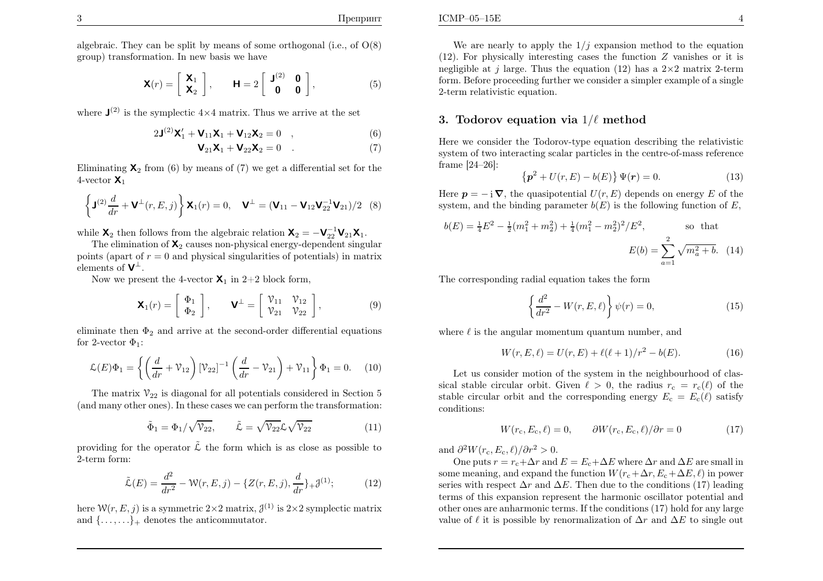algebraic. They can be split by means of some orthogonal (i.e., of  $O(8)$ ) group) transformation. In new basis we have

$$
\mathbf{X}(r) = \begin{bmatrix} \mathbf{X}_1 \\ \mathbf{X}_2 \end{bmatrix}, \qquad \mathbf{H} = 2 \begin{bmatrix} \mathbf{J}^{(2)} & \mathbf{0} \\ \mathbf{0} & \mathbf{0} \end{bmatrix}, \tag{5}
$$

where  $\mathbf{J}^{(2)}$  is the symplectic  $4\times 4$  matrix. Thus we arrive at the set

$$
2\mathbf{J}^{(2)}\mathbf{X}'_1 + \mathbf{V}_{11}\mathbf{X}_1 + \mathbf{V}_{12}\mathbf{X}_2 = 0 \quad , \tag{6}
$$

$$
\mathbf{V}_{21}\mathbf{X}_1 + \mathbf{V}_{22}\mathbf{X}_2 = 0 \quad . \tag{7}
$$

Eliminating  $\mathbf{X}_2$  from (6) by means of (7) we get a differential set for the 4-vector  $\mathsf{X}_1$ 

$$
\left\{ \mathbf{J}^{(2)} \frac{d}{dr} + \mathbf{V}^{\perp}(r, E, j) \right\} \mathbf{X}_1(r) = 0, \quad \mathbf{V}^{\perp} = (\mathbf{V}_{11} - \mathbf{V}_{12} \mathbf{V}_{22}^{-1} \mathbf{V}_{21})/2 \quad (8)
$$

while  $\mathbf{X}_2$  then follows from the algebraic relation  $\mathbf{X}_2 = -\mathbf{V}_{22}^{-1} \mathbf{V}_{21} \mathbf{X}_1$ .

The elimination of  $\mathbf{X}_2$  causes non-physical energy-dependent singular points (apart of  $r = 0$  and physical singularities of potentials) in matrix elements of  $V^{\perp}$ .

Now we present the 4-vector  $\mathsf{X}_1$  in 2+2 block form,

$$
\mathbf{X}_1(r) = \begin{bmatrix} \Phi_1 \\ \Phi_2 \end{bmatrix}, \qquad \mathbf{V}^{\perp} = \begin{bmatrix} \mathcal{V}_{11} & \mathcal{V}_{12} \\ \mathcal{V}_{21} & \mathcal{V}_{22} \end{bmatrix}, \tag{9}
$$

eliminate then  $\Phi_2$  and arrive at the second-order differential equations for 2-vector  $\Phi_1$ :

$$
\mathcal{L}(E)\Phi_1 = \left\{ \left( \frac{d}{dr} + \mathcal{V}_{12} \right) [\mathcal{V}_{22}]^{-1} \left( \frac{d}{dr} - \mathcal{V}_{21} \right) + \mathcal{V}_{11} \right\} \Phi_1 = 0. \quad (10)
$$

The matrix  $\mathcal{V}_{22}$  is diagonal for all potentials considered in Section 5 (and many other ones). In these cases we can perform the transformation:

$$
\tilde{\Phi}_1 = \Phi_1 / \sqrt{\mathcal{V}_{22}}, \qquad \tilde{\mathcal{L}} = \sqrt{\mathcal{V}_{22}} \mathcal{L} \sqrt{\mathcal{V}_{22}}
$$
\n(11)

providing for the operator  $\tilde{\mathcal{L}}$  the form which is as close as possible to 2-term form:

$$
\tilde{\mathcal{L}}(E) = \frac{d^2}{dr^2} - \mathcal{W}(r, E, j) - \{Z(r, E, j), \frac{d}{dr}\} + \mathcal{J}^{(1)}; \tag{12}
$$

here  $W(r, E, j)$  is a symmetric  $2 \times 2$  matrix,  $\mathcal{J}^{(1)}$  is  $2 \times 2$  symplectic matrix and  $\{\ldots,\ldots\}$  denotes the anticommutator.

We are nearly to apply the  $1/j$  expansion method to the equation (12). For physically interesting cases the function  $Z$  vanishes or it is negligible at j large. Thus the equation (12) has a  $2\times 2$  matrix 2-term form. Before proceeding further we consider <sup>a</sup> simpler example of <sup>a</sup> single2-term relativistic equation.

## 3. Todorov equation via  $1/\ell$  method

Here we consider the Todorov-type equation describing the relativistic system of two interacting scalar particles in the centre-of-mass referenceframe [24–26]:

$$
\{p^2 + U(r, E) - b(E)\}\,\Psi(r) = 0.\tag{13}
$$

Here  $p = -i \nabla$ , the quasipotential  $U(r, E)$  depends on energy E of the system, and the binding parameter  $b(E)$  is the following function of E,

$$
b(E) = \frac{1}{4}E^2 - \frac{1}{2}(m_1^2 + m_2^2) + \frac{1}{4}(m_1^2 - m_2^2)^2/E^2,
$$
 so that  

$$
E(b) = \sum_{a=1}^2 \sqrt{m_a^2 + b}.
$$
 (14)

The corresponding radial equation takes the form

$$
\left\{\frac{d^2}{dr^2} - W(r, E, \ell)\right\}\psi(r) = 0,\tag{15}
$$

where  $\ell$  is the angular momentum quantum number, and

$$
W(r, E, \ell) = U(r, E) + \ell(\ell + 1)/r^2 - b(E).
$$
 (16)

Let us consider motion of the system in the neighbourhood of classical stable circular orbit. Given  $\ell > 0$ , the radius  $r_c = r_c(\ell)$  of the stable circular orbit and the corresponding energy  $E_c = E_c(\ell)$  satisfy conditions:

$$
W(r_{\rm c}, E_{\rm c}, \ell) = 0, \qquad \partial W(r_{\rm c}, E_{\rm c}, \ell) / \partial r = 0 \tag{17}
$$

and  $\frac{\partial^2 W(r_{\rm c}, E_{\rm c}, \ell)/\partial r^2 > 0.$ 

One puts  $r = r_c + \Delta r$  and  $E = E_c + \Delta E$  where  $\Delta r$  and  $\Delta E$  are small in some meaning, and expand the function  $W(r_{\rm c} + \Delta r, E_{\rm c} + \Delta E, \ell)$  in power series with respect  $\Delta r$  and  $\Delta E$ . Then due to the conditions (17) leading terms of this expansion represent the harmonic oscillator potential and other ones are anharmonic terms. If the conditions (17) hold for any large value of  $\ell$  it is possible by renormalization of  $\Delta r$  and  $\Delta E$  to single out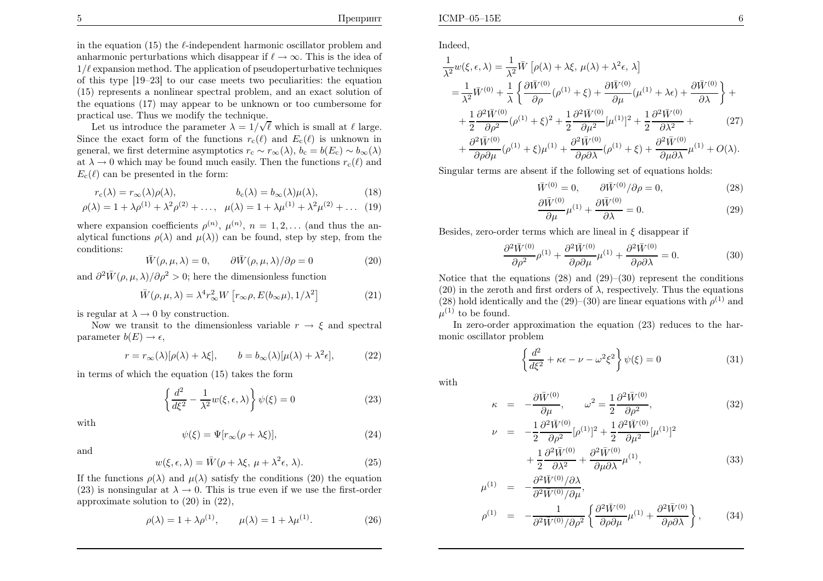in the equation  $(15)$  the  $\ell$ -independent harmonic oscillator problem and anharmonic perturbations which disappear if  $\ell \to \infty$ . This is the idea of  $1/\ell$  expansion method. The application of pseudoperturbative techniques of this type [19–23] to our case meets two peculiarities: the equation (15) represents <sup>a</sup> nonlinear spectral problem, and an exact solution of the equations (17) may appear to be unknown or too cumbersome for practical use. Thus we modify the technique.

Let us introduce the parameter  $\lambda = 1/\sqrt{\ell}$  which is small at  $\ell$  large. Since the exact form of the functions  $r_c(\ell)$  and  $E_c(\ell)$  is unknown in general, we first determine asymptotics  $r_c \sim r_\infty(\lambda)$ ,  $b_c = b(E_c) \sim b_\infty(\lambda)$ at  $\lambda \to 0$  which may be found much easily. Then the functions  $r_c(\ell)$  and  $F_c(\ell)$  can be presented in the form:  $E_c(\ell)$  can be presented in the form:

$$
r_{\rm c}(\lambda) = r_{\infty}(\lambda)\rho(\lambda), \qquad b_{\rm c}(\lambda) = b_{\infty}(\lambda)\mu(\lambda), \qquad (18)
$$

$$
\rho(\lambda) = 1 + \lambda \rho^{(1)} + \lambda^2 \rho^{(2)} + \dots, \ \mu(\lambda) = 1 + \lambda \mu^{(1)} + \lambda^2 \mu^{(2)} + \dots \tag{19}
$$

where expansion coefficients  $\rho^{(n)}$ ,  $\mu^{(n)}$ ,  $n = 1, 2, \dots$  (and thus the analytical functions  $\rho(\lambda)$  and  $\mu(\lambda)$  can be found, step by step, from the conditions:

$$
\overline{W}(\rho,\mu,\lambda) = 0, \qquad \partial \overline{W}(\rho,\mu,\lambda)/\partial \rho = 0 \tag{20}
$$

and  $\partial^2 \bar{W}(\rho, \mu, \lambda)/\partial \rho^2 > 0$ ; here the dimensionless function

$$
\bar{W}(\rho,\mu,\lambda) = \lambda^4 r_{\infty}^2 W \left[ r_{\infty}\rho, E(b_{\infty}\mu), 1/\lambda^2 \right]
$$
 (21)

is regular at  $\lambda \to 0$  by construction.<br>Now we transit to the dimension-

Now we transit to the dimensionless variable  $r \to \xi$  and spectral<br>ameter  $h(E) \to \xi$ parameter  $b(E) \rightarrow \epsilon$ ,

$$
r = r_{\infty}(\lambda)[\rho(\lambda) + \lambda \xi], \qquad b = b_{\infty}(\lambda)[\mu(\lambda) + \lambda^2 \epsilon], \tag{22}
$$

in terms of which the equation (15) takes the form

$$
\left\{\frac{d^2}{d\xi^2} - \frac{1}{\lambda^2}w(\xi, \epsilon, \lambda)\right\}\psi(\xi) = 0
$$
\n(23)

with

$$
\psi(\xi) = \Psi[r_{\infty}(\rho + \lambda \xi)],\tag{24}
$$

and

$$
w(\xi, \epsilon, \lambda) = \bar{W}(\rho + \lambda \xi, \mu + \lambda^2 \epsilon, \lambda).
$$
 (25)

If the functions  $\rho(\lambda)$  and  $\mu(\lambda)$  satisfy the conditions (20) the equation (23) is nonsingular at  $\lambda \to 0$ . This is true even if we use the first-order approximate solution to (20) in (22) approximate solution to (20) in (22),

$$
\rho(\lambda) = 1 + \lambda \rho^{(1)}, \qquad \mu(\lambda) = 1 + \lambda \mu^{(1)}.
$$
\n(26)

$$
\frac{1}{\lambda^2} w(\xi, \epsilon, \lambda) = \frac{1}{\lambda^2} \bar{W} \left[ \rho(\lambda) + \lambda \xi, \mu(\lambda) + \lambda^2 \epsilon, \lambda \right]
$$
\n
$$
= \frac{1}{\lambda^2} \bar{W}^{(0)} + \frac{1}{\lambda} \left\{ \frac{\partial \bar{W}^{(0)}}{\partial \rho} (\rho^{(1)} + \xi) + \frac{\partial \bar{W}^{(0)}}{\partial \mu} (\mu^{(1)} + \lambda \epsilon) + \frac{\partial \bar{W}^{(0)}}{\partial \lambda} \right\} + \frac{1}{2} \frac{\partial^2 \bar{W}^{(0)}}{\partial \rho^2} (\rho^{(1)} + \xi)^2 + \frac{1}{2} \frac{\partial^2 \bar{W}^{(0)}}{\partial \mu^2} [\mu^{(1)}]^2 + \frac{1}{2} \frac{\partial^2 \bar{W}^{(0)}}{\partial \lambda^2} + \frac{\partial^2 \bar{W}^{(0)}}{\partial \rho \partial \mu} (\rho^{(1)} + \xi) \mu^{(1)} + \frac{\partial^2 \bar{W}^{(0)}}{\partial \rho \partial \lambda} (\rho^{(1)} + \xi) + \frac{\partial^2 \bar{W}^{(0)}}{\partial \mu \partial \lambda} \mu^{(1)} + O(\lambda).
$$

Singular terms are absent if the following set of equations holds:

$$
\bar{W}^{(0)} = 0, \qquad \partial \bar{W}^{(0)}/\partial \rho = 0, \tag{28}
$$

$$
\frac{\partial \bar{W}^{(0)}}{\partial \mu} \mu^{(1)} + \frac{\partial \bar{W}^{(0)}}{\partial \lambda} = 0.
$$
 (29)

Besides, zero-order terms which are lineal in  $\xi$  disappear if

$$
\frac{\partial^2 \bar{W}^{(0)}}{\partial \rho^2} \rho^{(1)} + \frac{\partial^2 \bar{W}^{(0)}}{\partial \rho \partial \mu} \mu^{(1)} + \frac{\partial^2 \bar{W}^{(0)}}{\partial \rho \partial \lambda} = 0.
$$
 (30)

Notice that the equations  $(28)$  and  $(29)$ – $(30)$  represent the conditions (20) in the zeroth and first orders of  $\lambda$ , respectively. Thus the equations (28) hold identically and the (29)–(30) are linear equations with  $\rho^{(1)}$  and  $\mu^{(1)}$  to be found.

In zero-order approximation the equation (23) reduces to the harmonic oscillator problem

$$
\left\{\frac{d^2}{d\xi^2} + \kappa\epsilon - \nu - \omega^2 \xi^2\right\} \psi(\xi) = 0 \tag{31}
$$

with

ν

$$
\kappa = -\frac{\partial \bar{W}^{(0)}}{\partial \mu}, \qquad \omega^2 = \frac{1}{2} \frac{\partial^2 \bar{W}^{(0)}}{\partial \rho^2}, \tag{32}
$$

$$
= -\frac{1}{2} \frac{\partial^2 \bar{W}^{(0)}}{\partial \rho^2} [\rho^{(1)}]^2 + \frac{1}{2} \frac{\partial^2 \bar{W}^{(0)}}{\partial \mu^2} [\mu^{(1)}]^2 + \frac{1}{2} \frac{\partial^2 \bar{W}^{(0)}}{\partial \lambda^2} + \frac{\partial^2 \bar{W}^{(0)}}{\partial \mu \partial \lambda} \mu^{(1)},
$$
(33)

$$
\mu^{(1)} = -\frac{\partial^2 \bar{W}^{(0)} / \partial \lambda}{\partial^2 \bar{W}^{(0)} / \partial \mu},
$$
\n
$$
\rho^{(1)} = -\frac{1}{\partial^2 \bar{W}^{(0)} / \partial \rho^2} \left\{ \frac{\partial^2 \bar{W}^{(0)} }{\partial \rho \partial \mu} \mu^{(1)} + \frac{\partial^2 \bar{W}^{(0)} }{\partial \rho \partial \lambda} \right\}, \qquad (34)
$$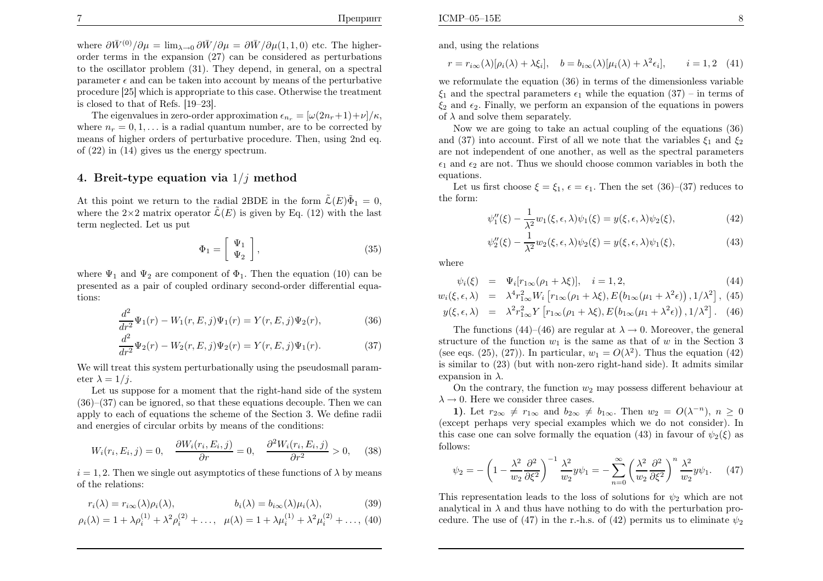where  $\partial \bar{W}^{(0)}/\partial \mu = \lim_{\lambda \to 0} \partial \bar{W}/\partial \mu = \partial \bar{W}/\partial \mu(1, 1, 0)$  etc. The higher- order terms in the expansion (27) can be considered as perturbations to the oscillator problem (31). They depend, in general, on <sup>a</sup> spectral parameter  $\epsilon$  and can be taken into account by means of the perturbative procedure [25] which is appropriate to this case. Otherwise the treatment is closed to that of Refs. [19–23].

The eigenvalues in zero-order approximation  $\epsilon_{n_r} = [\omega(2n_r+1)+\nu]/\kappa$ , where  $n_r = 0, 1, \dots$  is a radial quantum number, are to be corrected by means of higher orders of perturbative procedure. Then, using 2nd eq. of (22) in (14) <sup>g</sup>ives us the energy spectrum.

## 4. Breit-type equation via  $1/j$  method

At this point we return to the radial 2BDE in the form  $\tilde{\mathcal{L}}(E)\tilde{\Phi}_1 = 0$ , where the  $2\times2$  matrix operator  $\tilde{\mathcal{L}}(E)$  is given by Eq. (12) with the last term neglected. Let us put

$$
\Phi_1 = \left[ \begin{array}{c} \Psi_1 \\ \Psi_2 \end{array} \right],\tag{35}
$$

where  $\Psi_1$  and  $\Psi_2$  are component of  $\Phi_1$ . Then the equation (10) can be presented as <sup>a</sup> pair of coupled ordinary second-order differential equations:

$$
\frac{d^2}{dr^2}\Psi_1(r) - W_1(r, E, j)\Psi_1(r) = Y(r, E, j)\Psi_2(r),\tag{36}
$$

$$
\frac{d^2}{dr^2}\Psi_2(r) - W_2(r, E, j)\Psi_2(r) = Y(r, E, j)\Psi_1(r).
$$
 (37)

We will treat this system perturbationally using the pseudosmall parameter  $\lambda = 1/j$ .

 Let us suppose for <sup>a</sup> moment that the right-hand side of the system $(36)–(37)$  can be ignored, so that these equations decouple. Then we can apply to each of equations the scheme of the Section 3. We define radii and energies of circular orbits by means of the conditions:

$$
W_i(r_i, E_i, j) = 0, \quad \frac{\partial W_i(r_i, E_i, j)}{\partial r} = 0, \quad \frac{\partial^2 W_i(r_i, E_i, j)}{\partial r^2} > 0,
$$
 (38)

 $i = 1, 2$ . Then we single out asymptotics of these functions of  $\lambda$  by means of the relations:

$$
r_i(\lambda) = r_{i\infty}(\lambda)\rho_i(\lambda), \qquad b_i(\lambda) = b_{i\infty}(\lambda)\mu_i(\lambda), \qquad (39)
$$

$$
\rho_i(\lambda) = 1 + \lambda \rho_i^{(1)} + \lambda^2 \rho_i^{(2)} + \dots, \ \ \mu(\lambda) = 1 + \lambda \mu_i^{(1)} + \lambda^2 \mu_i^{(2)} + \dots, \ (40)
$$

and, using the relations

 $r = r_{i\infty}(\lambda)[\rho_i(\lambda) + \lambda \xi_i], \quad b = b_{i\infty}(\lambda)[\mu_i(\lambda) + \lambda^2 \epsilon_i], \qquad i =$  $i = 1, 2$  (41)

we reformulate the equation (36) in terms of the dimensionless variable $\xi_1$  and the spectral parameters  $\epsilon_1$  while the equation (37) – in terms of  $\xi_2$  and  $\epsilon_2$ . Finally, we perform an expansion of the equations in powers of  $\lambda$  and solve them separately.

Now we are going to take an actual coupling of the equations (36)and (37) into account. First of all we note that the variables  $\xi_1$  and  $\xi_2$ are not independent of one another, as well as the spectral parameters $\epsilon_1$  and  $\epsilon_2$  are not. Thus we should choose common variables in both the equations.

Let us first choose  $\xi = \xi_1$ ,  $\epsilon = \epsilon_1$ . Then the set (36)–(37) reduces to the form:

$$
\psi_1''(\xi) - \frac{1}{\lambda^2} w_1(\xi, \epsilon, \lambda) \psi_1(\xi) = y(\xi, \epsilon, \lambda) \psi_2(\xi), \tag{42}
$$

$$
\psi_2''(\xi) - \frac{1}{\lambda^2} w_2(\xi, \epsilon, \lambda) \psi_2(\xi) = y(\xi, \epsilon, \lambda) \psi_1(\xi), \tag{43}
$$

where

$$
\psi_i(\xi) = \Psi_i[r_{1\infty}(\rho_1 + \lambda \xi)], \quad i = 1, 2,
$$
\n(44)

$$
w_i(\xi, \epsilon, \lambda) = \lambda^4 r_{1\infty}^2 W_i \left[ r_{1\infty}(\rho_1 + \lambda \xi), E\left( b_{1\infty}(\mu_1 + \lambda^2 \epsilon) \right), 1/\lambda^2 \right], (45)
$$
  

$$
y(\xi, \epsilon, \lambda) = \lambda^2 r_{1\infty}^2 Y \left[ r_{1\infty}(\rho_1 + \lambda \xi), E\left( b_{1\infty}(\mu_1 + \lambda^2 \epsilon) \right), 1/\lambda^2 \right].
$$
 (46)

The functions (44)–(46) are regular at  $\lambda \to 0$ . Moreover, the general letter of the function  $w_i$  is the same as that of  $w_i$  in the Section 3 structure of the function  $w_1$  is the same as that of w in the Section 3 (see eqs. (25), (27)). In particular,  $w_1 = O(\lambda^2)$ . Thus the equation (42) is similar to (23) (but with non-zero right-hand side). It admits similarexpansion in  $\lambda$ .

On the contrary, the function  $w_2$  may possess different behaviour at  $\lambda \to 0$ . Here we consider three cases.<br>1) Let  $r_2 \neq r_1$  and  $r_2 \neq r_2$ 

1). Let  $r_{2\infty} \neq r_{1\infty}$  and  $b_{2\infty} \neq b_{1\infty}$ . Then  $w_2 = O(\lambda^{-n})$ ,  $n \geq 0$ <br>contractions very special examples which we do not consider. In (except perhaps very special examples which we do not consider). Inthis case one can solve formally the equation (43) in favour of  $\psi_2(\xi)$  as follows:

$$
\psi_2 = -\left(1 - \frac{\lambda^2}{w_2} \frac{\partial^2}{\partial \xi^2}\right)^{-1} \frac{\lambda^2}{w_2} y \psi_1 = -\sum_{n=0}^{\infty} \left(\frac{\lambda^2}{w_2} \frac{\partial^2}{\partial \xi^2}\right)^n \frac{\lambda^2}{w_2} y \psi_1. \tag{47}
$$

This representation leads to the loss of solutions for  $\psi_2$  which are not analytical in  $\lambda$  and thus have nothing to do with the perturbation procedure. The use of (47) in the r.-h.s. of (42) permits us to eliminate  $\psi_2$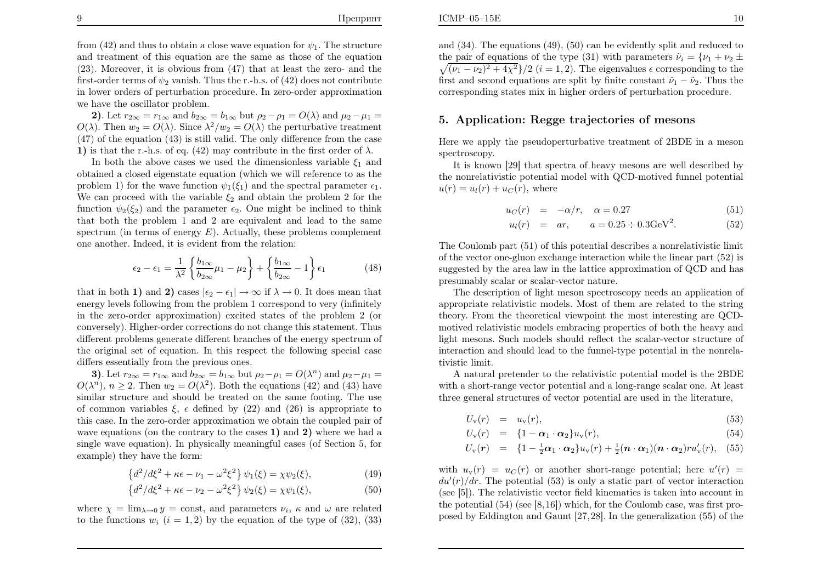from (42) and thus to obtain a close wave equation for  $\psi_1$ . The structure and treatment of this equation are the same as those of the equation (23). Moreover, it is obvious from (47) that at least the zero- and thefirst-order terms of  $\psi_2$  vanish. Thus the r.-h.s. of (42) does not contribute in lower orders of perturbation procedure. In zero-order approximationwe have the oscillator problem.

2). Let  $r_{2\infty} = r_{1\infty}$  and  $b_{2\infty} = b_{1\infty}$  but  $\rho_2 - \rho_1 = O(\lambda)$  and  $\mu_2 - \mu_1 =$ **2).** Let  $r_{2\infty} = r_{1\infty}$  and  $v_{2\infty} = v_{1\infty}$  but  $\rho_2 - \rho_1 = O(\lambda)$  and  $\mu_2 - \mu_1 = O(\lambda)$ . Then  $w_2 = O(\lambda)$ . Since  $\lambda^2/w_2 = O(\lambda)$  the perturbative treatment (47) of the equation (43) is still valid. The only difference from the case1) is that the r.-h.s. of eq. (42) may contribute in the first order of  $\lambda$ .

In both the above cases we used the dimensionless variable  $\xi_1$  and obtained <sup>a</sup> closed eigenstate equation (which we will reference to as theproblem 1) for the wave function  $\psi_1(\xi_1)$  and the spectral parameter  $\epsilon_1$ . We can proceed with the variable  $\xi_2$  and obtain the problem 2 for the function  $\psi_2(\xi_2)$  and the parameter  $\epsilon_2$ . One might be inclined to think that both the problem <sup>1</sup> and <sup>2</sup> are equivalent and lead to the samespectrum (in terms of energy  $E$ ). Actually, these problems complement one another. Indeed, it is evident from the relation:

$$
\epsilon_2 - \epsilon_1 = \frac{1}{\lambda^2} \left\{ \frac{b_{1\infty}}{b_{2\infty}} \mu_1 - \mu_2 \right\} + \left\{ \frac{b_{1\infty}}{b_{2\infty}} - 1 \right\} \epsilon_1 \tag{48}
$$

that in both 1) and 2) cases  $|\epsilon_2 - \epsilon_1| \to \infty$  if  $\lambda \to 0$ . It does mean that energy levels following from the problem <sup>1</sup> correspond to very (infinitely in the zero-order approximation) excited states of the problem <sup>2</sup> (or conversely). Higher-order corrections do not change this statement. Thus different problems generate different branches of the energy spectrum of the original set of equation. In this respect the following special casediffers essentially from the previous ones.

3). Let  $r_{2\infty} = r_{1\infty}$  and  $b_{2\infty} = b_{1\infty}$  but  $\rho_2 - \rho_1 = O(\lambda^n)$  and  $\mu_2 - \mu_1 =$ <br> $\binom{n}{k}$   $n > 2$ . Then  $w_k = O(\lambda^2)$ . Both the equations (42) and (43) have  $O(\lambda^n)$ ,  $n \geq 2$ . Then  $w_2 = O(\lambda^2)$ . Both the equations (42) and (43) have similar structure and should be treated on the same footing. The useof common variables  $\xi$ ,  $\epsilon$  defined by (22) and (26) is appropriate to this case. In the zero-order approximation we obtain the coupled pair of wave equations (on the contrary to the cases  $(1)$  and  $(2)$  where we had a single wave equation). In <sup>p</sup>hysically meaningful cases (of Section 5, forexample) they have the form:

$$
\left\{d^2/d\xi^2 + \kappa\epsilon - \nu_1 - \omega^2\xi^2\right\}\psi_1(\xi) = \chi\psi_2(\xi),\tag{49}
$$

$$
\left\{d^2/d\xi^2 + \kappa\epsilon - \nu_2 - \omega^2\xi^2\right\}\psi_2(\xi) = \chi\psi_1(\xi),\tag{50}
$$

where  $\chi = \lim_{\lambda \to 0} y = \text{const}$ , and parameters  $\nu_i$ ,  $\kappa$  and  $\omega$  are related to the functions  $w_i$   $(i = 1, 2)$  by the equation of the type of (32), (33)

and (34). The equations (49), (50) can be evidently split and reduced to the pair of equations of the type (31) with parameters  $\tilde{\nu}_i = {\nu_1 + \nu_2 \pm \sqrt{(\nu_1 + \nu_2 + \nu_3 + \nu_4 + \nu_5)}}$  $\sqrt{(\nu_1 - \nu_2)^2 + 4\chi^2}/2$  (*i* = 1, 2). The eigenvalues  $\epsilon$  corresponding to the first and second equations are split by finite constant  $\tilde{\nu}_1 - \tilde{\nu}_2$ . Thus the corresponding states mix in higher orders of perturbation procedure.

#### 5. Application: Regge trajectories of mesons

Here we apply the pseudoperturbative treatment of 2BDE in <sup>a</sup> mesonspectroscopy.

It is known [29] that spectra of heavy mesons are well described by the nonrelativistic potential model with QCD-motived funnel potential  $u(r) = u_l(r) + u_c(r)$ , where

$$
u_C(r) = -\alpha/r, \quad \alpha = 0.27 \tag{51}
$$

$$
u_l(r) = ar, \qquad a = 0.25 \div 0.3 \text{GeV}^2. \tag{52}
$$

The Coulomb part (51) of this potential describes <sup>a</sup> nonrelativistic limit of the vector one-gluon exchange interaction while the linear part (52) issuggested by the area law in the lattice approximation of QCD and has presumably scalar or scalar-vector nature.

The description of light meson spectroscopy needs an application of appropriate relativistic models. Most of them are related to the string theory. From the theoretical viewpoint the most interesting are QCDmotived relativistic models embracing properties of both the heavy and light mesons. Such models should reflect the scalar-vector structure of interaction and should lead to the funnel-type potential in the nonrelativistic limit.

A natural pretender to the relativistic potential model is the 2BDE with <sup>a</sup> short-range vector potential and <sup>a</sup> long-range scalar one. At least three genera<sup>l</sup> structures of vector potential are used in the literature,

$$
U_{\mathbf{v}}(r) = u_{\mathbf{v}}(r), \tag{53}
$$

$$
U_{\rm v}(r) = \{1-\alpha_1 \cdot \alpha_2\} u_{\rm v}(r), \tag{54}
$$

$$
U_{\rm v}(\boldsymbol{r}) = \left\{1 - \frac{1}{2}\boldsymbol{\alpha}_1\cdot\boldsymbol{\alpha}_2\right\}u_{\rm v}(r) + \frac{1}{2}(\boldsymbol{n}\cdot\boldsymbol{\alpha}_1)(\boldsymbol{n}\cdot\boldsymbol{\alpha}_2)ru_{\rm v}'(r), \quad (55)
$$

with  $u_v(r) = u_C(r)$  or another short-range potential; here  $u'(r) =$  $du'(r)/dr$ . The potential (53) is only a static part of vector interaction (see [5]). The relativistic vector field kinematics is taken into account in the potential (54) (see [8,16]) which, for the Coulomb case, was first proposed by Eddington and Gaunt [27,28]. In the generalization (55) of the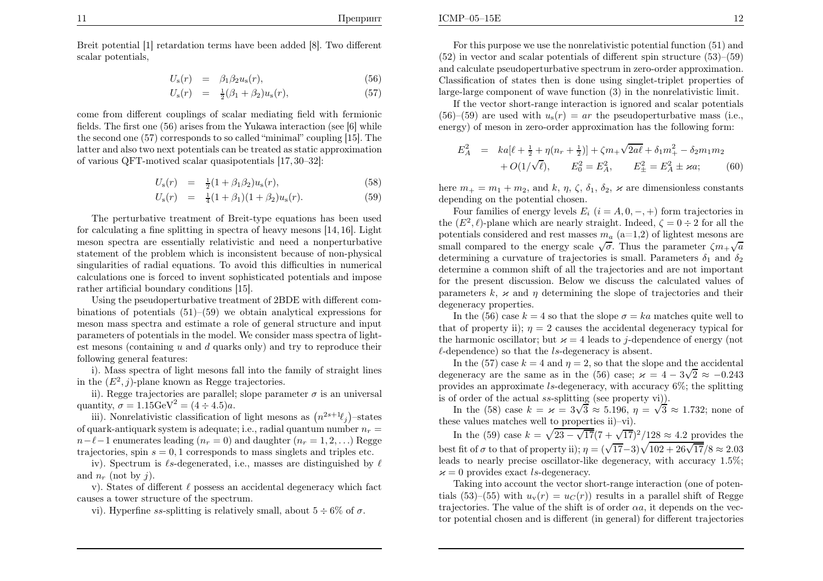ICMP–05–15E

Breit potential [1] retardation terms have been added [8]. Two differentscalar potentials,

$$
U_{\rm s}(r) = \beta_1 \beta_2 u_{\rm s}(r), \qquad (56)
$$

$$
U_{\rm s}(r) = \frac{1}{2}(\beta_1 + \beta_2)u_{\rm s}(r), \tag{57}
$$

come from different couplings of scalar mediating field with fermionic fields. The first one (56) arises from the Yukawa interaction (see [6] while the second one (57) corresponds to so called "minimal" coupling [15]. The latter and also two next potentials can be treated as static approximationof various QFT-motived scalar quasipotentials [17, 30–32]:

$$
U_{\rm s}(r) = \frac{1}{2}(1+\beta_1\beta_2)u_{\rm s}(r), \tag{58}
$$

$$
U_{\rm s}(r) = \frac{1}{4}(1+\beta_1)(1+\beta_2)u_{\rm s}(r). \tag{59}
$$

The perturbative treatment of Breit-type equations has been used for calculating <sup>a</sup> fine splitting in spectra of heavy mesons [14, 16]. Light meson spectra are essentially relativistic and need <sup>a</sup> nonperturbative statement of the problem which is inconsistent because of non-physical singularities of radial equations. To avoid this difficulties in numerical calculations one is forced to invent sophisticated potentials and imposerather artificial boundary conditions [15].

Using the pseudoperturbative treatment of 2BDE with different combinations of potentials  $(51)$ – $(59)$  we obtain analytical expressions for meson mass spectra and estimate <sup>a</sup> role of genera<sup>l</sup> structure and input parameters of potentials in the model. We consider mass spectra of lightest mesons (containing  $u$  and  $d$  quarks only) and try to reproduce their following genera<sup>l</sup> features:

i). Mass spectra of light mesons fall into the family of straight linesin the  $(E^2, j)$ -plane known as Regge trajectories.

ii). Regge trajectories are parallel; slope parameter  $\sigma$  is an universal quantity,  $\sigma = 1.15 \text{GeV}^2 = (4 \div 4.5)a$ .

iii). Nonrelativistic classification of light mesons as  $(n^{2s+1}\ell_j)$ -states of quark-antiquark system is adequate; i.e., radial quantum number  $n_r =$  $n-\ell-1$  enumerates leading  $(n_r = 0)$  and daughter  $(n_r = 1, 2, ...)$  Regge trajectories, spin  $s = 0, 1$  corresponds to mass singlets and triples etc.

iv). Spectrum is  $\ell$ s-degenerated, i.e., masses are distinguished by  $\ell$ and  $n_r$  (not by j).

v). States of different  $\ell$  possess an accidental degeneracy which fact causes <sup>a</sup> tower structure of the spectrum.

vi). Hyperfine *ss*-splitting is relatively small, about  $5 \div 6\%$  of  $\sigma$ .

For this purpose we use the nonrelativistic potential function (51) and (52) in vector and scalar potentials of different spin structure (53)–(59) and calculate pseudoperturbative spectrum in zero-order approximation. Classification of states then is done using singlet-triplet properties of large-large component of wave function (3) in the nonrelativistic limit.

If the vector short-range interaction is ignored and scalar potentials $(56)-(59)$  are used with  $u_s(r) = ar$  the pseudoperturbative mass (i.e., energy) of meson in zero-order approximation has the following form:

$$
E_A^2 = ka[\ell + \frac{1}{2} + \eta(n_r + \frac{1}{2})] + \zeta m_+ \sqrt{2a\ell} + \delta_1 m_+^2 - \delta_2 m_1 m_2
$$
  
+  $O(1/\sqrt{\ell}), \qquad E_0^2 = E_A^2, \qquad E_{\pm}^2 = E_A^2 \pm \varkappa a; \tag{60}$ 

here  $m_+ = m_1 + m_2$ , and  $k, \eta, \zeta, \delta_1, \delta_2, \varkappa$  are dimensionless constants depending on the potential chosen.

Four families of energy levels  $E_i$   $(i = A, 0, -, +)$  form trajectories in the  $(E^2, \ell)$ -plane which are nearly straight. Indeed,  $\zeta = 0 \div 2$  for all the potentials considered and rest masses  $m_a$  (a=1,2) of lightest mesons are small compared to the energy scale  $\sqrt{\sigma}$ . Thus the parameter  $\zeta m_+\sqrt{a}$ determining a curvature of trajectories is small. Parameters  $\delta_1$  and  $\delta_2$ determine <sup>a</sup> common shift of all the trajectories and are not important for the present discussion. Below we discuss the calculated values of parameters  $k, \, \varkappa$  and  $\eta$  determining the slope of trajectories and their degeneracy properties.

In the (56) case  $k = 4$  so that the slope  $\sigma = ka$  matches quite well to that of property ii);  $\eta = 2$  causes the accidental degeneracy typical for the harmonic oscillator; but  $\varkappa = 4$  leads to j-dependence of energy (not  $\ell$ -dependence) so that the ls-degeneracy is absent.

In the (57) case  $k = 4$  and  $\eta = 2$ , so that the slope and the accidental degeneracy are the same as in the (56) case;  $\varkappa = 4 - 3\sqrt{2} \approx -0.243$ provides an approximate ls-degeneracy, with accuracy 6%; the splitting is of order of the actual ss-splitting (see property vi)).

In the (58) case  $k = \varkappa = 3\sqrt{3} \approx 5.196$ ,  $\eta = \sqrt{3} \approx 1.732$ ; none of these values matches well to properties ii)–vi).

In the (59) case  $k=\sqrt{23-\sqrt{17}}(7 + \sqrt{17})^2/128\approx 4.2$  provides the best fit of  $\sigma$  to that of property ii);  $\eta = (\sqrt{17}-3)\sqrt{102 + 26\sqrt{17}}/8 \approx 2.03$  leads to nearly precise oscillator-like degeneracy, with accuracy <sup>1</sup>.5%;  $\varkappa = 0$  provides exact ls-degeneracy.

Taking into account the vector short-range interaction (one of potentials (53)–(55) with  $u_v(r) = u_c(r)$ ) results in a parallel shift of Regge trajectories. The value of the shift is of order  $\alpha a$ , it depends on the vector potential chosen and is different (in general) for different trajectories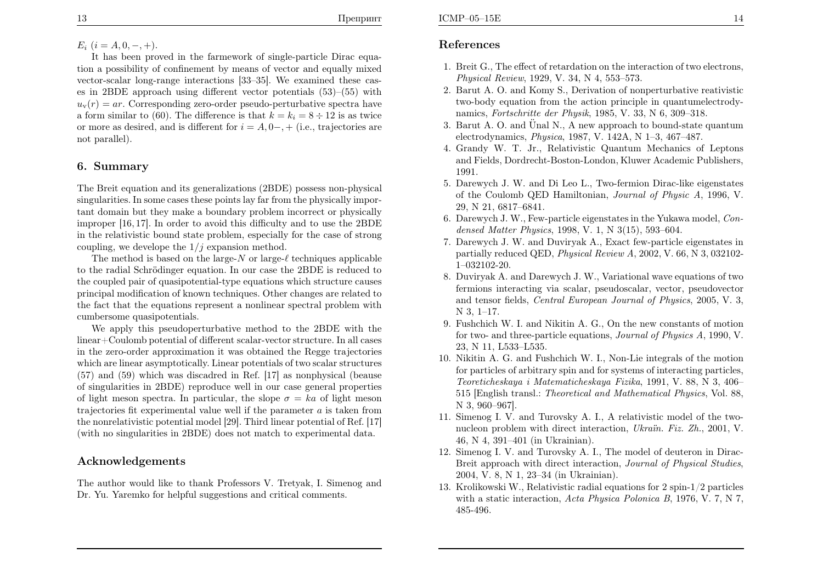# $E_i$   $(i = A, 0, -, +).$

It has been proved in the farmework of single-particle Dirac equation <sup>a</sup> possibility of confinement by means of vector and equally mixed vector-scalar long-range interactions [33–35]. We examined these cases in 2BDE approac<sup>h</sup> using different vector potentials (53)–(55) with $u_v(r) = ar$ . Corresponding zero-order pseudo-perturbative spectra have a form similar to (60). The difference is that  $k = k_i = 8 \div 12$  is as twice or more as desired, and is different for  $i = A, 0-, +$  (i.e., trajectories are not parallel).

#### 6. Summary

The Breit equation and its generalizations (2BDE) possess non-physical singularities. In some cases these points lay far from the <sup>p</sup>hysically important domain but they make <sup>a</sup> boundary problem incorrect or <sup>p</sup>hysically improper [16, 17]. In order to avoid this difficulty and to use the 2BDE in the relativistic bound state problem, especially for the case of strongcoupling, we develope the  $1/j$  expansion method.

The method is based on the large- $N$  or large- $\ell$  techniques applicable<br>the problem lines applicable applicable to the radial Schrödinger equation. In our case the 2BDE is reduced to the coupled pair of quasipotential-type equations which structure causes principal modification of known techniques. Other changes are related to the fact that the equations represent <sup>a</sup> nonlinear spectral problem withcumbersome quasipotentials.

We apply this pseudoperturbative method to the 2BDE with the linear+Coulomb potential of different scalar-vector structure. In all cases in the zero-order approximation it was obtained the Regge trajectories which are linear asymptotically. Linear potentials of two scalar structures (57) and (59) which was discadred in Ref. [17] as nonphysical (beause of singularities in 2BDE) reproduce well in our case genera<sup>l</sup> propertiesof light meson spectra. In particular, the slope  $\sigma = ka$  of light meson trajectories fit experimental value well if the parameter  $a$  is taken from the nonrelativistic potential model [29]. Third linear potential of Ref. [17] (with no singularities in 2BDE) does not match to experimental data.

#### Acknowledgements

The author would like to thank Professors V. Tretyak, I. Simenog andDr. Yu. Yaremko for helpful suggestions and critical comments.

### References

- 1. Breit G., The effect of retardation on the interaction of two electrons, Physical Review, 1929, V. 34, <sup>N</sup> 4, 553–573.
- 2. Barut A. O. and Komy S., Derivation of nonperturbative reativistic two-body equation from the action principle in quantumelectrodynamics, Fortschritte der Physik, 1985, V. 33, <sup>N</sup> 6, 309–318.
- 3. Barut A. O. and Ünal N., A new approach to bound-state quantum slectrodynamics.  $P_{\text{bucise}}$  1987,  $N_{\text{c}}$  1494,  $N_{\text{c}}$  1.2, 467, 497 electrodynamics, Physica, 1987, V. 142A, <sup>N</sup> 1–3, 467–487.
- 4. Grandy W. T. Jr., Relativistic Quantum Mechanics of Leptons and Fields, Dordrecht-Boston-London, Kluwer Academic Publishers, 1991.
- 5. Darewych J. W. and Di Leo L., Two-fermion Dirac-like eigenstates of the Coulomb QED Hamiltonian, Journal of Physic <sup>A</sup>, 1996, V. 29, <sup>N</sup> 21, 6817–6841.
- 6. Darewych J. W., Few-particle eigenstates in the Yukawa model, Condensed Matter Physics, 1998, V. 1, <sup>N</sup> 3(15), 593–604.
- 7. Darewych J. W. and Duviryak A., Exact few-particle eigenstates in $\rm{partially~reduced~QED},$   $\it{Physical~Review~}A,$   $2002,$   $\rm{V.~66,}$   $\rm{N}$   $3,$   $032102-$ 1–032102-20.
- 8. Duviryak A. and Darewych J. W., Variational wave equations of two fermions interacting via scalar, pseudoscalar, vector, pseudovector and tensor fields, Central European Journal of Physics, 2005, V. 3, N 3, 1–17.
- 9. Fushchich W. I. and Nikitin A. G., On the new constants of motionfor two- and three-particle equations, *Journal of Physics A*, 1990, V. 23, <sup>N</sup> 11, L533–L535.
- 10. Nikitin A. G. and Fushchich W. I., Non-Lie integrals of the motion for particles of arbitrary spin and for systems of interacting particles, Teoreticheskaya <sup>i</sup> Matematicheskaya Fizika, 1991, V. 88, <sup>N</sup> 3, 406– <sup>515</sup> [English transl.: Theoretical and Mathematical Physics, Vol. 88, N 3, 960–967].
- 11. Simenog I. V. and Turovsky A. I., <sup>A</sup> relativistic model of the twonucleon problem with direct interaction, *Ukraïn. Fiz. Zh.*, 2001, V. 46, <sup>N</sup> 4, 391–401 (in Ukrainian).
- 12. Simenog I. V. and Turovsky A. I., The model of deuteron in Dirac-Breit approac<sup>h</sup> with direct interaction, Journal of Physical Studies, 2004, V. 8, <sup>N</sup> 1, 23–34 (in Ukrainian).
- 13. Krolikowski W., Relativistic radial equations for <sup>2</sup> spin-1/2 particleswith a static interaction, Acta Physica Polonica B, 1976, V. 7, N 7, 485-496.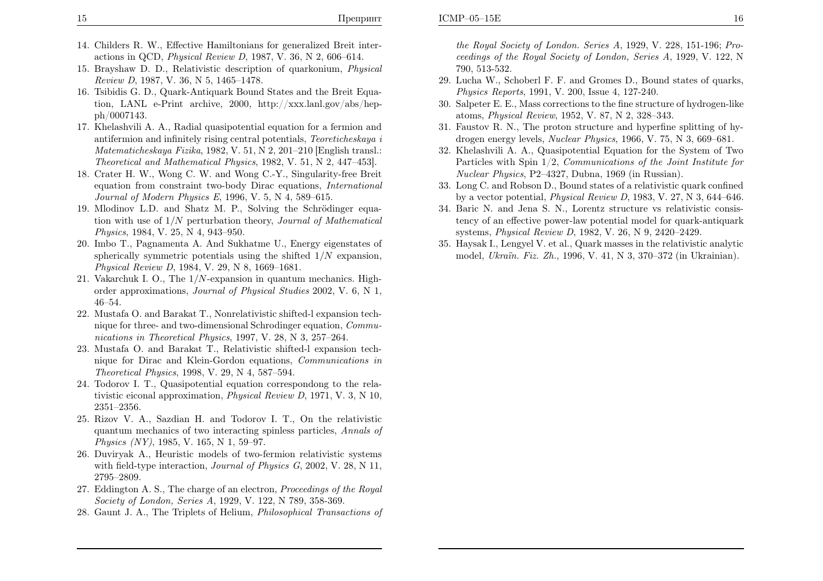- 14. Childers R. W., Effective Hamiltonians for generalized Breit interactions in QCD, Physical Review <sup>D</sup>, 1987, V. 36, <sup>N</sup> 2, 606–614.
- 15. Brayshaw D. D., Relativistic description of quarkonium, Physical Review <sup>D</sup>, 1987, V. 36, <sup>N</sup> 5, 1465–1478.
- 16. Tsibidis G. D., Quark-Antiquark Bound States and the Breit Equation, LANL e-Print archive, 2000, http://xxx.lanl.gov/abs/hepph/0007143.
- 17. Khelashvili A. A., Radial quasipotential equation for <sup>a</sup> fermion and antifermion and infinitely rising central potentials, Teoreticheskaya <sup>i</sup> Matematicheskaya Fizika, 1982, V. 51, <sup>N</sup> 2, 201–210 [English transl.: Theoretical and Mathematical Physics, 1982, V. 51, <sup>N</sup> 2, 447–453].
- 18. Crater H. W., Wong C. W. and Wong C.-Y., Singularity-free Breit equation from constraint two-body Dirac equations, International Journal of Modern Physics <sup>E</sup>, 1996, V. 5, <sup>N</sup> 4, 589–615.
- 19. Mlodinov L.D. and Shatz M. P., Solving the Schrödinger equation with use of  $1/N$  perturbation theory, *Journal of Mathematical*  $R_{\text{twist}}$  1084 V 25 N 4, 042, 050 Physics, 1984, V. 25, <sup>N</sup> 4, 943–950.
- 20. Imbo T., Pagnamenta A. And Sukhatme U., Energy eigenstates of spherically symmetric potentials using the shifted  $1/N$  expansion,<br> $R_{\text{twist}} R_{\text{wist}} R_{\text{wist}} R_{\text{wist}} R_{\text{wist}} R_{\text{wist}} R_{\text{wist}} R_{\text{wist}} R_{\text{wist}} R_{\text{wist}} R_{\text{wist}} R_{\text{wist}} R_{\text{wist}} R_{\text{wist}} R_{\text{wist}} R_{\text{wist}} R_{\text{wist}} R_{\text{wist}} R_{\text{wist}} R$ Physical Review <sup>D</sup>, 1984, V. 29, <sup>N</sup> 8, 1669–1681.
- 21. Vakarchuk I. O., The <sup>1</sup>/N-expansion in quantum mechanics. Highorder approximations, Journal of Physical Studies 2002, V. 6, <sup>N</sup> 1, 46–54.
- 22. Mustafa O. and Barakat T., Nonrelativistic shifted-l expansion technique for three- and two-dimensional Schrodinger equation, Communications in Theoretical Physics, 1997, V. 28, <sup>N</sup> 3, 257–264.
- 23. Mustafa O. and Barakat T., Relativistic shifted-l expansion technique for Dirac and Klein-Gordon equations, Communications inTheoretical Physics, 1998, V. 29, <sup>N</sup> 4, 587–594.
- 24. Todorov I. T., Quasipotential equation correspondong to the relativistic eiconal approximation, Physical Review <sup>D</sup>, 1971, V. 3, <sup>N</sup> 10, 2351–2356.
- 25. Rizov V. A., Sazdian H. and Todorov I. T., On the relativistic quantum mechanics of two interacting spinless particles, Annals of Physics (NY), 1985, V. 165, <sup>N</sup> 1, 59–97.
- 26. Duviryak A., Heuristic models of two-fermion relativistic systemswith field-type interaction, *Journal of Physics G*, 2002, V. 28, N 11, 2795–2809.
- 27. Eddington A. S., The charge of an electron, Proceedings of the Royal Society of London, Series <sup>A</sup>, 1929, V. 122, <sup>N</sup> 789, 358-369.
- 28. Gaunt J. A., The Triplets of Helium, Philosophical Transactions of

the Royal Society of London. Series <sup>A</sup>, 1929, V. 228, 151-196; Proceedings of the Royal Society of London, Series <sup>A</sup>, 1929, V. 122, <sup>N</sup>790, 513-532.

- 29. Lucha W., Schoberl F. F. and Gromes D., Bound states of quarks, Physics Reports, 1991, V. 200, Issue 4, 127-240.
- 30. Salpeter E. E., Mass corrections to the fine structure of hydrogen-likeatoms, Physical Review, 1952, V. 87, <sup>N</sup> 2, 328–343.
- 31. Faustov R. N., The proton structure and hyperfine splitting of hydrogen energy levels, Nuclear Physics, 1966, V. 75, <sup>N</sup> 3, 669–681.
- 32. Khelashvili A. A., Quasipotential Equation for the System of TwoParticles with Spin 1/2, *Communications of the Joint Institute for* Nuclear Physics, P2–4327, Dubna, <sup>1969</sup> (in Russian).
- 33. Long C. and Robson D., Bound states of <sup>a</sup> relativistic quar<sup>k</sup> confinedby a vector potential, *Physical Review D*, 1983, V. 27, N  $3$ , 644–646.
- 34. Baric N. and Jena S. N., Lorentz structure vs relativistic consistency of an effective power-law potential model for quark-antiquarksystems, Physical Review <sup>D</sup>, 1982, V. 26, <sup>N</sup> 9, 2420–2429.
- 35. Haysak I., Lengyel V. et al., Quark masses in the relativistic analyticmodel, *Ukraïn. Fiz. Zh.*, 1996, V. 41, N 3, 370–372 (in Ukrainian).